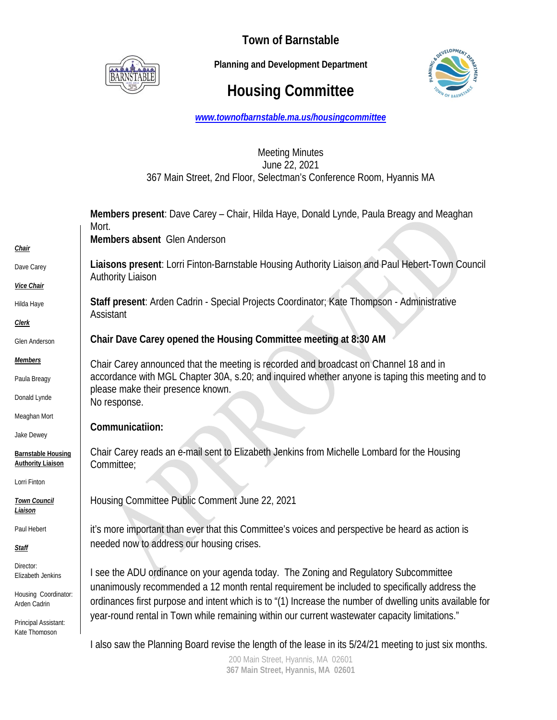

**Town of Barnstable** 

 **Planning and Development Department**

## **Housing Committee**



*www.townofbarnstable.ma.us/housingcommittee*

## Meeting Minutes June 22, 2021 367 Main Street, 2nd Floor, Selectman's Conference Room, Hyannis MA

|                                                       | Members present: Dave Carey – Chair, Hilda Haye, Donald Lynde, Paula Breagy and Meaghan<br>Mort.                                                                                                                                                                                                                                                                                                    |
|-------------------------------------------------------|-----------------------------------------------------------------------------------------------------------------------------------------------------------------------------------------------------------------------------------------------------------------------------------------------------------------------------------------------------------------------------------------------------|
| Chair                                                 | Members absent Glen Anderson                                                                                                                                                                                                                                                                                                                                                                        |
| Dave Carey                                            | Liaisons present: Lorri Finton-Barnstable Housing Authority Liaison and Paul Hebert-Town Council<br><b>Authority Liaison</b>                                                                                                                                                                                                                                                                        |
| Vice Chair                                            |                                                                                                                                                                                                                                                                                                                                                                                                     |
| Hilda Haye                                            | Staff present: Arden Cadrin - Special Projects Coordinator; Kate Thompson - Administrative<br>Assistant                                                                                                                                                                                                                                                                                             |
| <b>Clerk</b>                                          |                                                                                                                                                                                                                                                                                                                                                                                                     |
| Glen Anderson                                         | Chair Dave Carey opened the Housing Committee meeting at 8:30 AM                                                                                                                                                                                                                                                                                                                                    |
| <b>Members</b>                                        | Chair Carey announced that the meeting is recorded and broadcast on Channel 18 and in<br>accordance with MGL Chapter 30A, s.20; and inquired whether anyone is taping this meeting and to<br>please make their presence known.<br>No response.                                                                                                                                                      |
| Paula Breagy                                          |                                                                                                                                                                                                                                                                                                                                                                                                     |
| Donald Lynde                                          |                                                                                                                                                                                                                                                                                                                                                                                                     |
| Meaghan Mort                                          | Communicatiion:                                                                                                                                                                                                                                                                                                                                                                                     |
| Jake Dewey                                            |                                                                                                                                                                                                                                                                                                                                                                                                     |
| <b>Barnstable Housing</b><br><b>Authority Liaison</b> | Chair Carey reads an e-mail sent to Elizabeth Jenkins from Michelle Lombard for the Housing<br>Committee;                                                                                                                                                                                                                                                                                           |
| Lorri Finton                                          |                                                                                                                                                                                                                                                                                                                                                                                                     |
| <b>Town Council</b><br>Liaison                        | Housing Committee Public Comment June 22, 2021                                                                                                                                                                                                                                                                                                                                                      |
| Paul Hebert                                           | it's more important than ever that this Committee's voices and perspective be heard as action is<br>needed now to address our housing crises.                                                                                                                                                                                                                                                       |
| <u>Staff</u>                                          |                                                                                                                                                                                                                                                                                                                                                                                                     |
| Director:<br>Elizabeth Jenkins                        | I see the ADU ordinance on your agenda today. The Zoning and Regulatory Subcommittee<br>unanimously recommended a 12 month rental requirement be included to specifically address the<br>ordinances first purpose and intent which is to "(1) Increase the number of dwelling units available for<br>year-round rental in Town while remaining within our current wastewater capacity limitations." |
| Housing Coordinator:<br>Arden Cadrin                  |                                                                                                                                                                                                                                                                                                                                                                                                     |
| Principal Assistant:<br>Kate Thomnson                 |                                                                                                                                                                                                                                                                                                                                                                                                     |
|                                                       | I also saw the Planning Board revise the length of the lease in its 5/24/21 meeting to just six months.                                                                                                                                                                                                                                                                                             |

200 Main Street, Hyannis, MA 02601 **367 Main Street, Hyannis, MA 02601**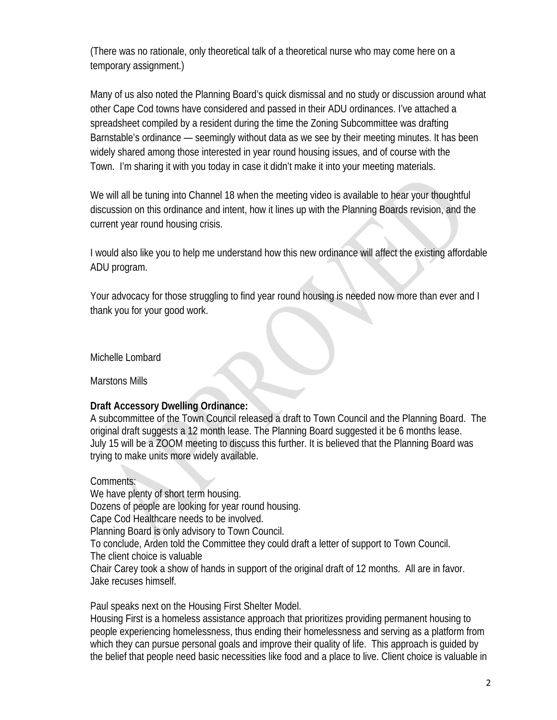(There was no rationale, only theoretical talk of a theoretical nurse who may come here on a temporary assignment.)

Many of us also noted the Planning Board's quick dismissal and no study or discussion around what other Cape Cod towns have considered and passed in their ADU ordinances. I've attached a spreadsheet compiled by a resident during the time the Zoning Subcommittee was drafting Barnstable's ordinance — seemingly without data as we see by their meeting minutes. It has been widely shared among those interested in year round housing issues, and of course with the Town. I'm sharing it with you today in case it didn't make it into your meeting materials.

We will all be tuning into Channel 18 when the meeting video is available to hear your thoughtful discussion on this ordinance and intent, how it lines up with the Planning Boards revision, and the current year round housing crisis.

I would also like you to help me understand how this new ordinance will affect the existing affordable ADU program.

Your advocacy for those struggling to find year round housing is needed now more than ever and I thank you for your good work.

Michelle Lombard

Marstons Mills

## **Draft Accessory Dwelling Ordinance:**

A subcommittee of the Town Council released a draft to Town Council and the Planning Board. The original draft suggests a 12 month lease. The Planning Board suggested it be 6 months lease. July 15 will be a ZOOM meeting to discuss this further. It is believed that the Planning Board was trying to make units more widely available.

Comments: We have plenty of short term housing. Dozens of people are looking for year round housing. Cape Cod Healthcare needs to be involved. Planning Board is only advisory to Town Council. To conclude, Arden told the Committee they could draft a letter of support to Town Council. The client choice is valuable Chair Carey took a show of hands in support of the original draft of 12 months. All are in favor. Jake recuses himself.

Paul speaks next on the Housing First Shelter Model.

Housing First is a homeless assistance approach that prioritizes providing permanent housing to people experiencing homelessness, thus ending their homelessness and serving as a platform from which they can pursue personal goals and improve their quality of life. This approach is guided by the belief that people need basic necessities like food and a place to live. Client choice is valuable in